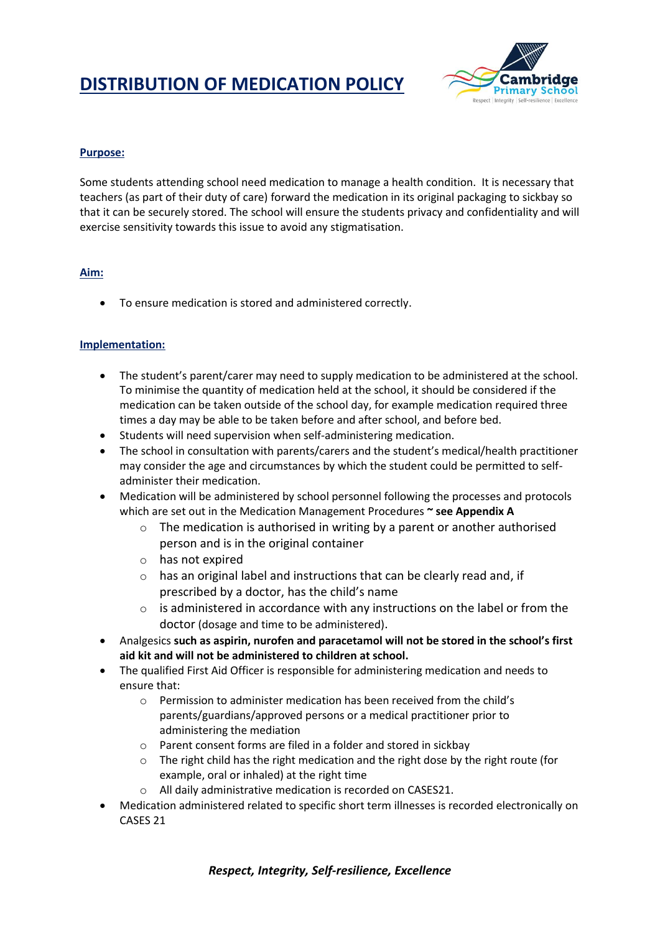# **DISTRIBUTION OF MEDICATION POLICY**



### **Purpose:**

Some students attending school need medication to manage a health condition. It is necessary that teachers (as part of their duty of care) forward the medication in its original packaging to sickbay so that it can be securely stored. The school will ensure the students privacy and confidentiality and will exercise sensitivity towards this issue to avoid any stigmatisation.

#### **Aim:**

To ensure medication is stored and administered correctly.

#### **Implementation:**

- The student's parent/carer may need to supply medication to be administered at the school. To minimise the quantity of medication held at the school, it should be considered if the medication can be taken outside of the school day, for example medication required three times a day may be able to be taken before and after school, and before bed.
- Students will need supervision when self-administering medication.
- The school in consultation with parents/carers and the student's medical/health practitioner may consider the age and circumstances by which the student could be permitted to selfadminister their medication.
- Medication will be administered by school personnel following the processes and protocols which are set out in the Medication Management Procedures **~ see Appendix A**
	- $\circ$  The medication is authorised in writing by a parent or another authorised person and is in the original container
	- o has not expired
	- o has an original label and instructions that can be clearly read and, if prescribed by a doctor, has the child's name
	- $\circ$  is administered in accordance with any instructions on the label or from the doctor (dosage and time to be administered).
- Analgesics **such as aspirin, nurofen and paracetamol will not be stored in the school's first aid kit and will not be administered to children at school.**
- The qualified First Aid Officer is responsible for administering medication and needs to ensure that:
	- o Permission to administer medication has been received from the child's parents/guardians/approved persons or a medical practitioner prior to administering the mediation
	- o Parent consent forms are filed in a folder and stored in sickbay
	- $\circ$  The right child has the right medication and the right dose by the right route (for example, oral or inhaled) at the right time
	- o All daily administrative medication is recorded on CASES21.
- Medication administered related to specific short term illnesses is recorded electronically on CASES 21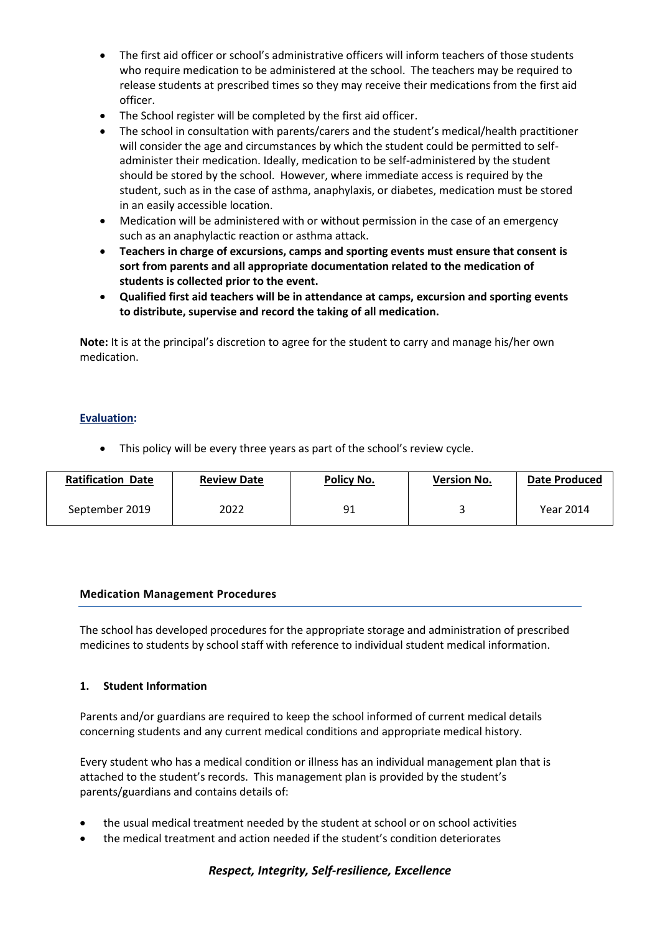- The first aid officer or school's administrative officers will inform teachers of those students who require medication to be administered at the school. The teachers may be required to release students at prescribed times so they may receive their medications from the first aid officer.
- The School register will be completed by the first aid officer.
- The school in consultation with parents/carers and the student's medical/health practitioner will consider the age and circumstances by which the student could be permitted to selfadminister their medication. Ideally, medication to be self-administered by the student should be stored by the school. However, where immediate access is required by the student, such as in the case of asthma, anaphylaxis, or diabetes, medication must be stored in an easily accessible location.
- Medication will be administered with or without permission in the case of an emergency such as an anaphylactic reaction or asthma attack.
- **Teachers in charge of excursions, camps and sporting events must ensure that consent is sort from parents and all appropriate documentation related to the medication of students is collected prior to the event.**
- **Qualified first aid teachers will be in attendance at camps, excursion and sporting events to distribute, supervise and record the taking of all medication.**

**Note:** It is at the principal's discretion to agree for the student to carry and manage his/her own medication.

#### **Evaluation:**

• This policy will be every three years as part of the school's review cycle.

| <b>Ratification Date</b> | <b>Review Date</b> | Policy No. | <b>Version No.</b> | Date Produced |
|--------------------------|--------------------|------------|--------------------|---------------|
| September 2019           | 2022               | 91         |                    | Year 2014     |

#### **Medication Management Procedures**

The school has developed procedures for the appropriate storage and administration of prescribed medicines to students by school staff with reference to individual student medical information.

#### **1. Student Information**

Parents and/or guardians are required to keep the school informed of current medical details concerning students and any current medical conditions and appropriate medical history.

Every student who has a medical condition or illness has an individual management plan that is attached to the student's records. This management plan is provided by the student's parents/guardians and contains details of:

- the usual medical treatment needed by the student at school or on school activities
- the medical treatment and action needed if the student's condition deteriorates

#### *Respect, Integrity, Self-resilience, Excellence*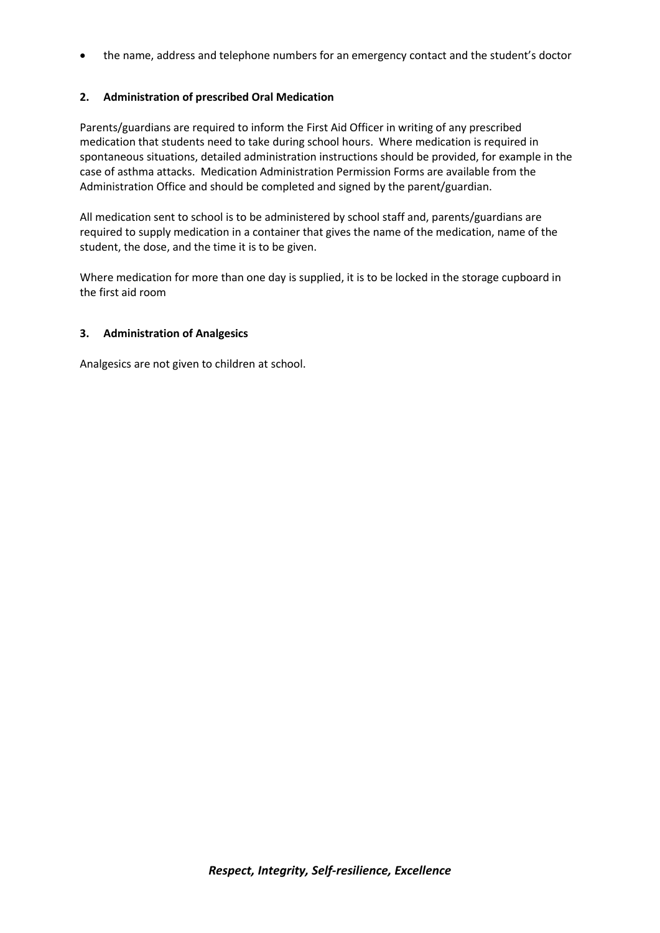the name, address and telephone numbers for an emergency contact and the student's doctor

### **2. Administration of prescribed Oral Medication**

Parents/guardians are required to inform the First Aid Officer in writing of any prescribed medication that students need to take during school hours. Where medication is required in spontaneous situations, detailed administration instructions should be provided, for example in the case of asthma attacks. Medication Administration Permission Forms are available from the Administration Office and should be completed and signed by the parent/guardian.

All medication sent to school is to be administered by school staff and, parents/guardians are required to supply medication in a container that gives the name of the medication, name of the student, the dose, and the time it is to be given.

Where medication for more than one day is supplied, it is to be locked in the storage cupboard in the first aid room

#### **3. Administration of Analgesics**

Analgesics are not given to children at school.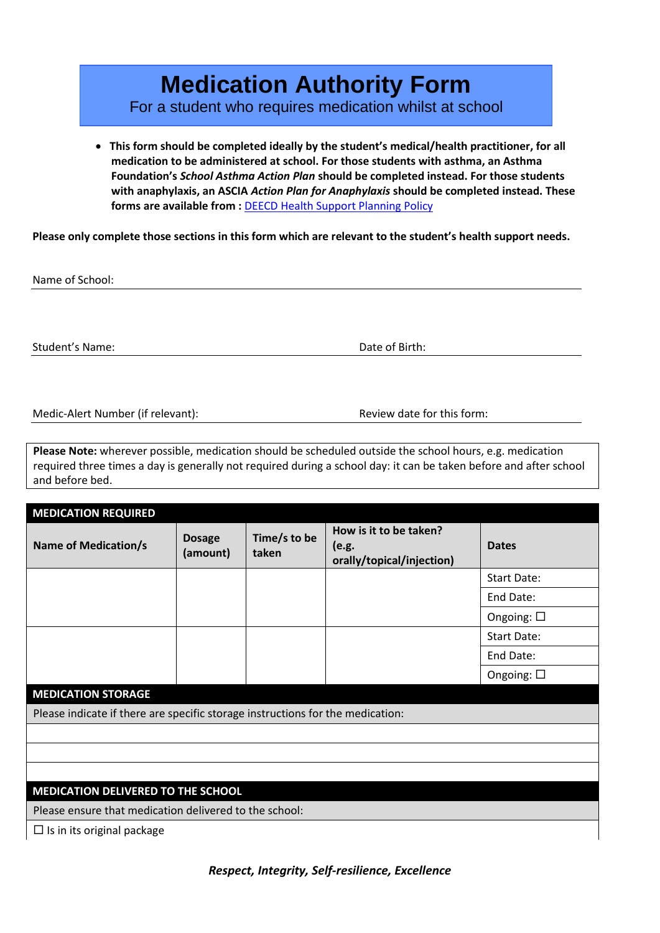# **Medication Authority Form**

For a student who requires medication whilst at school

 **This form should be completed ideally by the student's medical/health practitioner, for all medication to be administered at school. For those students with asthma, an Asthma Foundation's** *School Asthma Action Plan* **should be completed instead. For those students with anaphylaxis, an ASCIA** *Action Plan for Anaphylaxis* **should be completed instead. These**  forms are available from : **[DEECD Health Support Planning Policy](http://www.education.vic.gov.au/school/principals/spag/health/Pages/supportplanning.aspx)** 

**Please only complete those sections in this form which are relevant to the student's health support needs.** 

Name of School:

Student's Name: Date of Birth: Date of Birth:

Medic-Alert Number (if relevant): Review date for this form:

**Please Note:** wherever possible, medication should be scheduled outside the school hours, e.g. medication required three times a day is generally not required during a school day: it can be taken before and after school and before bed.

| <b>MEDICATION REQUIRED</b>                                                     |                           |                       |                                                              |                    |
|--------------------------------------------------------------------------------|---------------------------|-----------------------|--------------------------------------------------------------|--------------------|
| <b>Name of Medication/s</b>                                                    | <b>Dosage</b><br>(amount) | Time/s to be<br>taken | How is it to be taken?<br>(e.g.<br>orally/topical/injection) | <b>Dates</b>       |
|                                                                                |                           |                       |                                                              | Start Date:        |
|                                                                                |                           |                       |                                                              | End Date:          |
|                                                                                |                           |                       |                                                              | Ongoing: $\square$ |
|                                                                                |                           |                       |                                                              | <b>Start Date:</b> |
|                                                                                |                           |                       |                                                              | End Date:          |
|                                                                                |                           |                       |                                                              | Ongoing: $\square$ |
| <b>MEDICATION STORAGE</b>                                                      |                           |                       |                                                              |                    |
| Please indicate if there are specific storage instructions for the medication: |                           |                       |                                                              |                    |
|                                                                                |                           |                       |                                                              |                    |
|                                                                                |                           |                       |                                                              |                    |
|                                                                                |                           |                       |                                                              |                    |
| <b>MEDICATION DELIVERED TO THE SCHOOL</b>                                      |                           |                       |                                                              |                    |

Please ensure that medication delivered to the school:

 $\Box$  Is in its original package